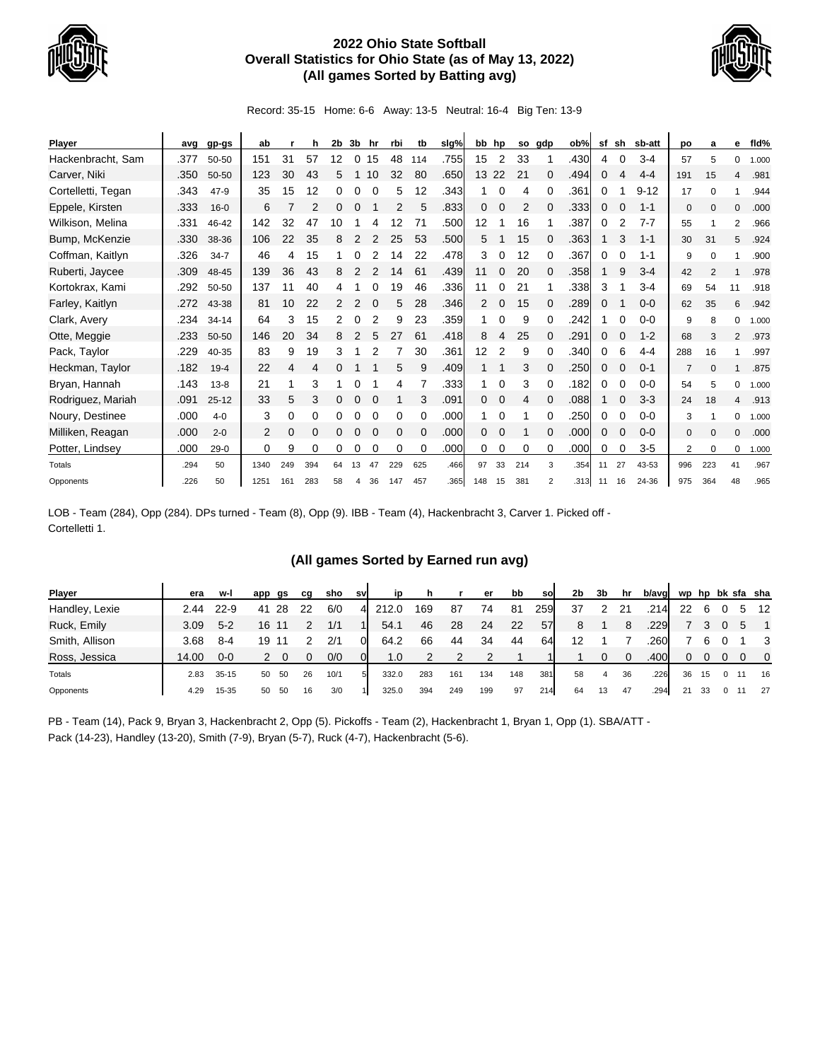

## **2022 Ohio State Softball Overall Statistics for Ohio State (as of May 13, 2022) (All games Sorted by Batting avg)**



Record: 35-15 Home: 6-6 Away: 13-5 Neutral: 16-4 Big Ten: 13-9

| <b>Player</b>      | avg  | gp-gs     | ab       |     | h   | 2b | 3b            | hr       | rbi      | tb       | slg% |     | bb hp |     | so gdp         | ob%  | sf | sh       | sb-att   | po             | a        | е              | fld%  |
|--------------------|------|-----------|----------|-----|-----|----|---------------|----------|----------|----------|------|-----|-------|-----|----------------|------|----|----------|----------|----------------|----------|----------------|-------|
| Hackenbracht, Sam  | .377 | 50-50     | 151      | 31  | 57  | 12 | 0             | 15       | 48       | 114      | .755 | 15  | 2     | 33  |                | .430 | 4  | 0        | $3 - 4$  | 57             | 5        | 0              | 1.000 |
| Carver, Niki       | .350 | 50-50     | 123      | 30  | 43  | 5  |               | 10       | 32       | 80       | .650 | 13  | 22    | 21  | 0              | .494 | 0  | Δ        | $4 - 4$  | 191            | 15       | 4              | .981  |
| Cortelletti, Tegan | .343 | 47-9      | 35       | 15  | 12  | 0  | 0             | 0        | 5        | 12       | .343 |     | 0     | 4   | 0              | .361 | 0  |          | $9 - 12$ | 17             | $\Omega$ |                | .944  |
| Eppele, Kirsten    | .333 | $16 - 0$  | 6        |     |     | 0  |               |          | 2        | 5        | .833 | 0   | 0     |     |                | .333 | 0  |          | $1 - 1$  | $\mathbf 0$    | $\Omega$ | 0              | .000  |
| Wilkison, Melina   | .331 | 46-42     | 142      | 32  | 47  | 10 |               |          | 12       | 71       | .500 | 12  |       | 16  |                | .387 | 0  | 2        | $7 - 7$  | 55             |          | $\overline{2}$ | .966  |
| Bump, McKenzie     | .330 | 38-36     | 106      | 22  | 35  | 8  | 2             |          | 25       | 53       | .500 | 5.  |       | 15  | 0              | .363 |    | 3        | $1 - 1$  | 30             | 31       | 5              | .924  |
| Coffman, Kaitlyn   | .326 | $34 - 7$  | 46       | 4   | 15  |    |               |          | 14       | 22       | .478 | 3   | 0     | 12  | 0              | .367 | 0  | ∩        | $1 - 1$  | 9              | $\Omega$ |                | .900  |
| Ruberti, Jaycee    | .309 | 48-45     | 139      | 36  | 43  | 8  |               |          | 14       | 61       | .439 | 11  | 0     | 20  | 0              | .358 |    | 9        | $3 - 4$  | 42             | 2        |                | .978  |
| Kortokrax, Kami    | .292 | 50-50     | 137      | -1  | 40  | 4  |               |          | 19       | 46       | .336 | 11  | 0     | 21  |                | .338 | 3  |          | $3 - 4$  | 69             | 54       | 11             | .918  |
| Farley, Kaitlyn    | .272 | 43-38     | 81       | 10  | 22  | 2  | 2             |          | 5        | 28       | .346 | 2   | 0     | 15  | 0              | .289 | 0  |          | $0 - 0$  | 62             | 35       | 6              | .942  |
| Clark, Avery       | .234 | $34 - 14$ | 64       | 3   | 15  | 2  | 0             |          | 9        | 23       | .359 |     | 0     | 9   | 0              | .242 |    | 0        | $0 - 0$  | 9              | 8        | 0              | 1.000 |
| Otte, Meggie       | .233 | 50-50     | 146      | 20  | 34  | 8  | $\mathcal{P}$ | 5        | 27       | 61       | .418 | 8   | 4     | 25  | 0              | .291 | 0  |          | $1 - 2$  | 68             | 3        | 2              | .973  |
| Pack, Taylor       | .229 | 40-35     | 83       | 9   | 19  | 3  |               |          |          | 30       | .361 | 12  | 2     | 9   | 0              | .340 | 0  | 6        | $4 - 4$  | 288            | 16       |                | .997  |
| Heckman, Taylor    | .182 | $19 - 4$  | 22       | 4   | 4   |    |               |          | 5        | 9        | .409 |     |       | 3   |                | .250 | 0  |          | $0 - 1$  | $\overline{7}$ | $\Omega$ |                | .875  |
| Bryan, Hannah      | .143 | $13 - 8$  | 21       |     | 3   |    | 0             |          | 4        |          | .333 | 1   | 0     | 3   | $\Omega$       | .182 | 0  | $\Omega$ | $0 - 0$  | 54             | 5        | 0              | 1.000 |
| Rodriguez, Mariah  | .091 | $25 - 12$ | 33       | 5   | 3   | 0  | 0             | $\Omega$ |          | 3        | .091 | 0   | 0     | 4   | $\Omega$       | .088 |    | $\Omega$ | $3 - 3$  | 24             | 18       | 4              | .913  |
| Noury, Destinee    | .000 | $4 - 0$   | 3        | 0   | 0   | 0  | 0             | $\Omega$ | 0        | 0        | .000 |     | 0     |     |                | .250 | 0  | 0        | $0 - 0$  | 3              |          | 0              | 1.000 |
| Milliken, Reagan   | .000 | $2 - 0$   | 2        | 0   | 0   | 0  | ი             |          | $\Omega$ | $\Omega$ | .000 | 0   | 0     |     | 0              | .000 | 0  | $\Omega$ | $0 - 0$  | $\mathbf{0}$   | $\Omega$ | $\mathbf 0$    | .000  |
| Potter, Lindsey    | .000 | $29-0$    | $\Omega$ | 9   | 0   | 0  | 0             | $\Omega$ | 0        | $\Omega$ | .000 | 0   | 0     | 0   | 0              | .000 | 0  | $\Omega$ | $3-5$    | 2              | $\Omega$ | 0              | 1.000 |
| Totals             | .294 | 50        | 1340     | 249 | 394 | 64 | 13            | 47       | 229      | 625      | .466 | 97  | 33    | 214 | 3              | .354 | 11 | 27       | 43-53    | 996            | 223      | 41             | .967  |
| Opponents          | .226 | 50        | 1251     | 161 | 283 | 58 | 4             | 36       | 147      | 457      | .365 | 148 | 15    | 381 | $\overline{2}$ | .313 | 11 | 16       | 24-36    | 975            | 364      | 48             | .965  |

LOB - Team (284), Opp (284). DPs turned - Team (8), Opp (9). IBB - Team (4), Hackenbracht 3, Carver 1. Picked off - Cortelletti 1.

## **(All games Sorted by Earned run avg)**

| <b>Player</b>  | era   | w-l       | app | gs | ca | sho  | sv       | in    | h   |     | er  | bb  | sol | 2b | 3b | hr       | b/avg |    |     |   |             | wp hp bk sfa sha        |
|----------------|-------|-----------|-----|----|----|------|----------|-------|-----|-----|-----|-----|-----|----|----|----------|-------|----|-----|---|-------------|-------------------------|
| Handley, Lexie | 2.44  | $22 - 9$  | 41  | 28 | 22 | 6/0  | 4        | 212.0 | 169 | 87  | 74  | 81  | 259 | 37 |    | 21       | .214  | 22 | 6   |   |             | 5 12                    |
| Ruck, Emily    | 3.09  | $5 - 2$   | 16  |    |    | 1/1  |          | 54.1  | 46  | 28  | 24  | 22  | 57  | 8  |    | 8        | .229  |    |     |   | $\mathbf b$ |                         |
| Smith, Allison | 3.68  | $8 - 4$   | 19  |    |    | 2/1  | $\Omega$ | 64.2  | 66  | 44  | 34  | 44  | 64  | 12 |    |          | 260   |    |     |   |             | $\overline{\mathbf{3}}$ |
| Ross, Jessica  | 14.00 | $0 - 0$   |     |    |    | 0/0  | 01       | 1.0   |     |     | っ   |     |     |    |    | $\Omega$ | .400  | 0  |     |   |             | $\overline{0}$          |
| Totals         | 2.83  | $35 - 15$ | 50  | 50 | 26 | 10/1 | 5        | 332.0 | 283 | 161 | 134 | 148 | 381 | 58 | 4  | 36       | .226  | 36 | 15  | 0 |             | 16                      |
| Opponents      | 4.29  | 15-35     | 50  | 50 | 16 | 3/0  |          | 325.0 | 394 | 249 | 199 | 97  | 214 | 64 | 13 | 47       | .294  | 21 | -33 |   |             | -27                     |

PB - Team (14), Pack 9, Bryan 3, Hackenbracht 2, Opp (5). Pickoffs - Team (2), Hackenbracht 1, Bryan 1, Opp (1). SBA/ATT - Pack (14-23), Handley (13-20), Smith (7-9), Bryan (5-7), Ruck (4-7), Hackenbracht (5-6).